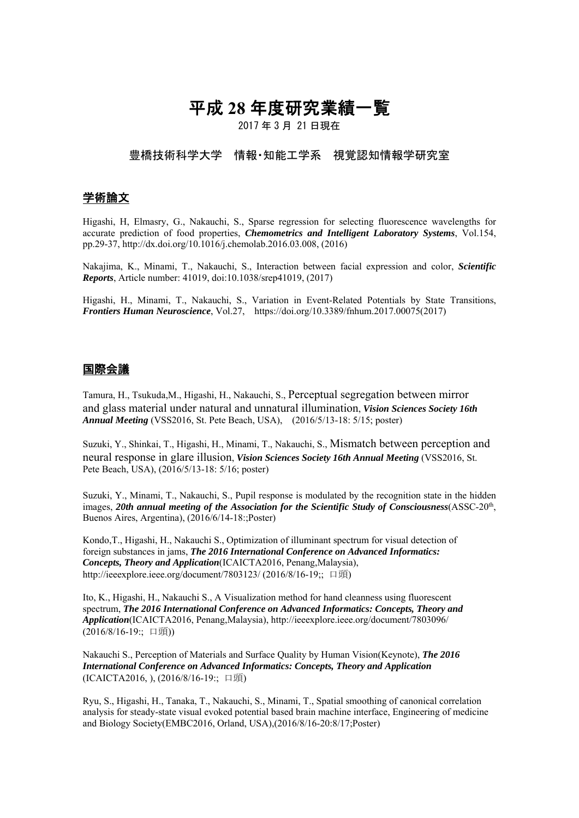# 平成 **28** 年度研究業績一覧

2017 年 3 月 21 日現在

### 豊橋技術科学大学 情報・知能工学系 視覚認知情報学研究室

## 学術論文

Higashi, H, Elmasry, G., Nakauchi, S., Sparse regression for selecting fluorescence wavelengths for accurate prediction of food properties, *Chemometrics and Intelligent Laboratory Systems*, Vol.154, pp.29-37, http://dx.doi.org/10.1016/j.chemolab.2016.03.008, (2016)

Nakajima, K., Minami, T., Nakauchi, S., Interaction between facial expression and color, *Scientific Reports*, Article number: 41019, doi:10.1038/srep41019, (2017)

Higashi, H., Minami, T., Nakauchi, S., Variation in Event-Related Potentials by State Transitions, *Frontiers Human Neuroscience*, Vol.27, https://doi.org/10.3389/fnhum.2017.00075(2017)

#### 国際会議

Tamura, H., Tsukuda,M., Higashi, H., Nakauchi, S., Perceptual segregation between mirror and glass material under natural and unnatural illumination, *Vision Sciences Society 16th Annual Meeting* (VSS2016, St. Pete Beach, USA), (2016/5/13-18: 5/15; poster)

Suzuki, Y., Shinkai, T., Higashi, H., Minami, T., Nakauchi, S., Mismatch between perception and neural response in glare illusion, *Vision Sciences Society 16th Annual Meeting* (VSS2016, St. Pete Beach, USA), (2016/5/13-18: 5/16; poster)

Suzuki, Y., Minami, T., Nakauchi, S., Pupil response is modulated by the recognition state in the hidden images, 20th annual meeting of the Association for the Scientific Study of Consciousness(ASSC-20<sup>th</sup>, Buenos Aires, Argentina), (2016/6/14-18:;Poster)

Kondo,T., Higashi, H., Nakauchi S., Optimization of illuminant spectrum for visual detection of foreign substances in jams, *The 2016 International Conference on Advanced Informatics: Concepts, Theory and Application*(ICAICTA2016, Penang,Malaysia), http://ieeexplore.ieee.org/document/7803123/ (2016/8/16-19:; 口頭)

Ito, K., Higashi, H., Nakauchi S., A Visualization method for hand cleanness using fluorescent spectrum, *The 2016 International Conference on Advanced Informatics: Concepts, Theory and Application*(ICAICTA2016, Penang,Malaysia), http://ieeexplore.ieee.org/document/7803096/ (2016/8/16-19:; 口頭))

Nakauchi S., Perception of Materials and Surface Quality by Human Vision(Keynote), *The 2016 International Conference on Advanced Informatics: Concepts, Theory and Application*  (ICAICTA2016, ), (2016/8/16-19:; 口頭)

Ryu, S., Higashi, H., Tanaka, T., Nakauchi, S., Minami, T., Spatial smoothing of canonical correlation analysis for steady-state visual evoked potential based brain machine interface, Engineering of medicine and Biology Society(EMBC2016, Orland, USA),(2016/8/16-20:8/17;Poster)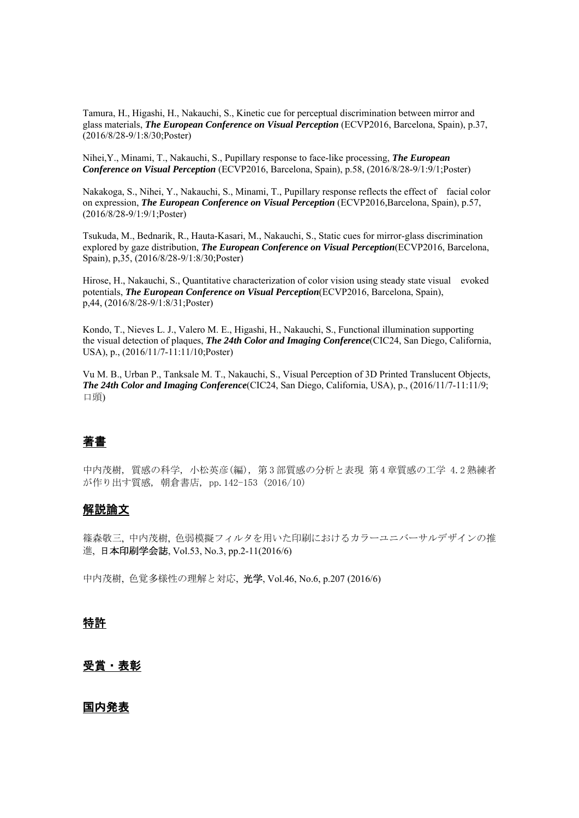Tamura, H., Higashi, H., Nakauchi, S., Kinetic cue for perceptual discrimination between mirror and glass materials, *The European Conference on Visual Perception* (ECVP2016, Barcelona, Spain), p.37, (2016/8/28-9/1:8/30;Poster)

Nihei,Y., Minami, T., Nakauchi, S., Pupillary response to face-like processing, *The European Conference on Visual Perception* (ECVP2016, Barcelona, Spain), p.58, (2016/8/28-9/1:9/1;Poster)

Nakakoga, S., Nihei, Y., Nakauchi, S., Minami, T., Pupillary response reflects the effect of facial color on expression, *The European Conference on Visual Perception* (ECVP2016,Barcelona, Spain), p.57, (2016/8/28-9/1:9/1;Poster)

Tsukuda, M., Bednarik, R., Hauta-Kasari, M., Nakauchi, S., Static cues for mirror-glass discrimination explored by gaze distribution, *The European Conference on Visual Perception*(ECVP2016, Barcelona, Spain), p,35, (2016/8/28-9/1:8/30;Poster)

Hirose, H., Nakauchi, S., Quantitative characterization of color vision using steady state visual evoked potentials, *The European Conference on Visual Perception*(ECVP2016, Barcelona, Spain), p,44, (2016/8/28-9/1:8/31;Poster)

Kondo, T., Nieves L. J., Valero M. E., Higashi, H., Nakauchi, S., Functional illumination supporting the visual detection of plaques, *The 24th Color and Imaging Conference*(CIC24, San Diego, California, USA), p., (2016/11/7-11:11/10;Poster)

Vu M. B., Urban P., Tanksale M. T., Nakauchi, S., Visual Perception of 3D Printed Translucent Objects, *The 24th Color and Imaging Conference*(CIC24, San Diego, California, USA), p., (2016/11/7-11:11/9; 口頭)

## 著書

中内茂樹, 質感の科学, 小松英彦(編), 第 3 部質感の分析と表現 第 4 章質感の工学 4.2 熟練者 が作り出す質感, 朝倉書店, pp.142-153 (2016/10)

### 解説論文

篠森敬三, 中内茂樹, 色弱模擬フィルタを用いた印刷におけるカラーユニバーサルデザインの推 進, 日本印刷学会誌, Vol.53, No.3, pp.2-11(2016/6)

中内茂樹, 色覚多様性の理解と対応, 光学, Vol.46, No.6, p.207 (2016/6)

### 特許

### 受賞・表彰

#### 国内発表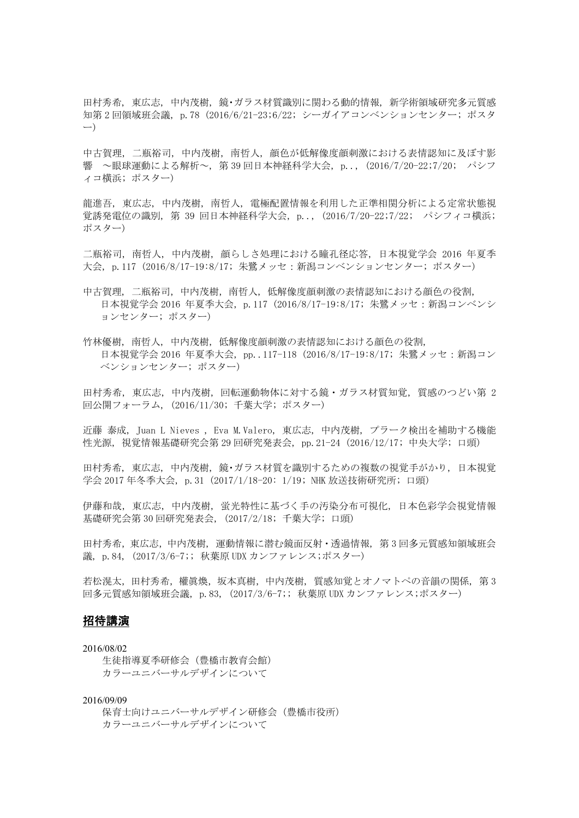田村秀希, 東広志, 中内茂樹, 鏡・ガラス材質識別に関わる動的情報, 新学術領域研究多元質感 知第 2 回領域班会議, p.78 (2016/6/21-23;6/22; シーガイアコンベンションセンター; ポスタ ー)

中古賀理, 二瓶裕司, 中内茂樹, 南哲人, 顔色が低解像度顔刺激における表情認知に及ぼす影 響 ~眼球運動による解析~, 第 39 回日本神経科学大会, p.., (2016/7/20-22;7/20; パシフ ィコ横浜; ポスター)

龍進吾, 東広志, 中内茂樹, 南哲人, 電極配置情報を利用した正準相関分析による定常状態視 覚誘発電位の識別, 第 39 回日本神経科学大会, p.., (2016/7/20-22;7/22; パシフィコ横浜; ポスター)

二瓶裕司, 南哲人, 中内茂樹, 顔らしさ処理における瞳孔径応答, 日本視覚学会 2016 年夏季 大会, p.117 (2016/8/17-19:8/17; 朱鷺メッセ:新潟コンベンションセンター; ポスター)

中古賀理, 二瓶裕司,中内茂樹,南哲人, 低解像度顔刺激の表情認知における顔色の役割, 日本視覚学会 2016 年夏季大会, p.117 (2016/8/17-19:8/17; 朱鷺メッセ:新潟コンベンシ ョンセンター; ポスター)

竹林優樹, 南哲人, 中内茂樹, 低解像度顔刺激の表情認知における顔色の役割, 日本視覚学会 2016 年夏季大会, pp..117-118 (2016/8/17-19:8/17; 朱鷺メッセ:新潟コン ベンションセンター; ポスター)

田村秀希, 東広志, 中内茂樹, 回転運動物体に対する鏡・ガラス材質知覚, 質感のつどい第 2 回公開フォーラム, (2016/11/30; 千葉大学; ポスター)

近藤 泰成, Juan L Nieves , Eva M.Valero, 東広志, 中内茂樹, プラーク検出を補助する機能 性光源, 視覚情報基礎研究会第 29 回研究発表会, pp.21-24 (2016/12/17; 中央大学; 口頭)

田村秀希, 東広志, 中内茂樹, 鏡・ガラス材質を識別するための複数の視覚手がかり, 日本視覚 学会 2017 年冬季大会, p.31 (2017/1/18-20: 1/19; NHK 放送技術研究所; 口頭)

伊藤和哉, 東広志, 中内茂樹, 蛍光特性に基づく手の汚染分布可視化, 日本色彩学会視覚情報 基礎研究会第 30 回研究発表会, (2017/2/18; 千葉大学; 口頭)

田村秀希,東広志,中内茂樹, 運動情報に潜む鏡面反射・透過情報, 第 3 回多元質感知領域班会 議, p.84, (2017/3/6-7;; 秋葉原 UDX カンファレンス;ポスター)

若松滉太,田村秀希,權眞煥,坂本真樹,中内茂樹, 質感知覚とオノマトペの音韻の関係, 第 3 回多元質感知領域班会議, p.83, (2017/3/6-7;; 秋葉原 UDX カンファレンス;ポスター)

#### 招待講演

2016/08/02 生徒指導夏季研修会(豊橋市教育会館) カラーユニバーサルデザインについて

2016/09/09

保育士向けユニバーサルデザイン研修会(豊橋市役所) カラーユニバーサルデザインについて